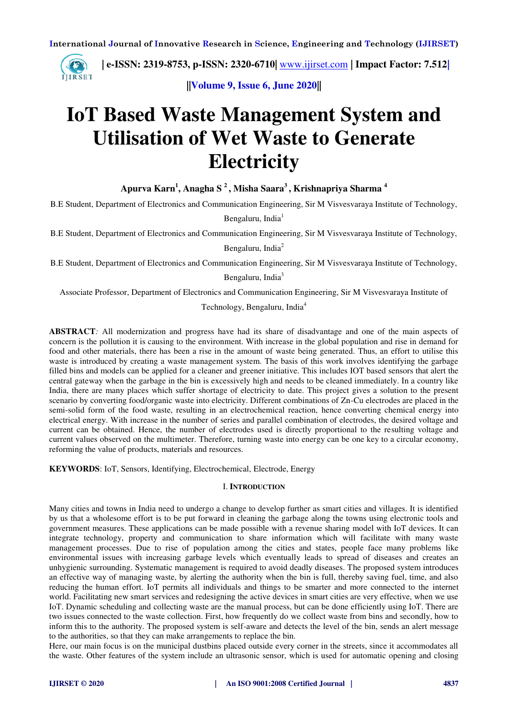

 **| e-ISSN: 2319-8753, p-ISSN: 2320-6710|** [www.ijirset.com](http://www.ijirset.com/) **| Impact Factor: 7.512|**

**||Volume 9, Issue 6, June 2020||** 

# **IoT Based Waste Management System and Utilisation of Wet Waste to Generate Electricity**

**Apurva Karn<sup>1</sup> , Anagha S <sup>2</sup>, Misha Saara<sup>3</sup>, Krishnapriya Sharma <sup>4</sup>**

B.E Student, Department of Electronics and Communication Engineering, Sir M Visvesvaraya Institute of Technology, Bengaluru, India<sup>1</sup>

B.E Student, Department of Electronics and Communication Engineering, Sir M Visvesvaraya Institute of Technology,

Bengaluru, India<sup>2</sup>

B.E Student, Department of Electronics and Communication Engineering, Sir M Visvesvaraya Institute of Technology,

Bengaluru, India<sup>3</sup>

Associate Professor, Department of Electronics and Communication Engineering, Sir M Visvesvaraya Institute of

Technology, Bengaluru, India<sup>4</sup>

**ABSTRACT***:* All modernization and progress have had its share of disadvantage and one of the main aspects of concern is the pollution it is causing to the environment. With increase in the global population and rise in demand for food and other materials, there has been a rise in the amount of waste being generated. Thus, an effort to utilise this waste is introduced by creating a waste management system. The basis of this work involves identifying the garbage filled bins and models can be applied for a cleaner and greener initiative. This includes IOT based sensors that alert the central gateway when the garbage in the bin is excessively high and needs to be cleaned immediately. In a country like India, there are many places which suffer shortage of electricity to date. This project gives a solution to the present scenario by converting food/organic waste into electricity. Different combinations of Zn-Cu electrodes are placed in the semi-solid form of the food waste, resulting in an electrochemical reaction, hence converting chemical energy into electrical energy. With increase in the number of series and parallel combination of electrodes, the desired voltage and current can be obtained. Hence, the number of electrodes used is directly proportional to the resulting voltage and current values observed on the multimeter. Therefore, turning waste into energy can be one key to a circular economy, reforming the value of products, materials and resources.

**KEYWORDS**: IoT, Sensors, Identifying, Electrochemical, Electrode, Energy

## I. **INTRODUCTION**

Many cities and towns in India need to undergo a change to develop further as smart cities and villages. It is identified by us that a wholesome effort is to be put forward in cleaning the garbage along the towns using electronic tools and government measures. These applications can be made possible with a revenue sharing model with IoT devices. It can integrate technology, property and communication to share information which will facilitate with many waste management processes. Due to rise of population among the cities and states, people face many problems like environmental issues with increasing garbage levels which eventually leads to spread of diseases and creates an unhygienic surrounding. Systematic management is required to avoid deadly diseases. The proposed system introduces an effective way of managing waste, by alerting the authority when the bin is full, thereby saving fuel, time, and also reducing the human effort. IoT permits all individuals and things to be smarter and more connected to the internet world. Facilitating new smart services and redesigning the active devices in smart cities are very effective, when we use IoT. Dynamic scheduling and collecting waste are the manual process, but can be done efficiently using IoT. There are two issues connected to the waste collection. First, how frequently do we collect waste from bins and secondly, how to inform this to the authority. The proposed system is self-aware and detects the level of the bin, sends an alert message to the authorities, so that they can make arrangements to replace the bin.

Here, our main focus is on the municipal dustbins placed outside every corner in the streets, since it accommodates all the waste. Other features of the system include an ultrasonic sensor, which is used for automatic opening and closing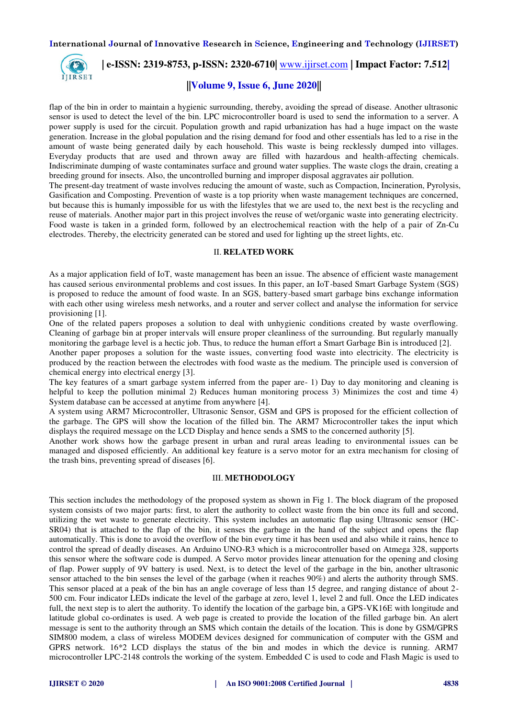

 **| e-ISSN: 2319-8753, p-ISSN: 2320-6710|** [www.ijirset.com](http://www.ijirset.com/) **| Impact Factor: 7.512|**

## **||Volume 9, Issue 6, June 2020||**

flap of the bin in order to maintain a hygienic surrounding, thereby, avoiding the spread of disease. Another ultrasonic sensor is used to detect the level of the bin. LPC microcontroller board is used to send the information to a server. A power supply is used for the circuit. Population growth and rapid urbanization has had a huge impact on the waste generation. Increase in the global population and the rising demand for food and other essentials has led to a rise in the amount of waste being generated daily by each household. This waste is being recklessly dumped into villages. Everyday products that are used and thrown away are filled with hazardous and health-affecting chemicals. Indiscriminate dumping of waste contaminates surface and ground water supplies. The waste clogs the drain, creating a breeding ground for insects. Also, the uncontrolled burning and improper disposal aggravates air pollution.

The present-day treatment of waste involves reducing the amount of waste, such as Compaction, Incineration, Pyrolysis, Gasification and Composting. Prevention of waste is a top priority when waste management techniques are concerned, but because this is humanly impossible for us with the lifestyles that we are used to, the next best is the recycling and reuse of materials. Another major part in this project involves the reuse of wet/organic waste into generating electricity. Food waste is taken in a grinded form, followed by an electrochemical reaction with the help of a pair of Zn-Cu electrodes. Thereby, the electricity generated can be stored and used for lighting up the street lights, etc.

## II. **RELATED WORK**

As a major application field of IoT, waste management has been an issue. The absence of efficient waste management has caused serious environmental problems and cost issues. In this paper, an IoT-based Smart Garbage System (SGS) is proposed to reduce the amount of food waste. In an SGS, battery-based smart garbage bins exchange information with each other using wireless mesh networks, and a router and server collect and analyse the information for service provisioning [1].

One of the related papers proposes a solution to deal with unhygienic conditions created by waste overflowing. Cleaning of garbage bin at proper intervals will ensure proper cleanliness of the surrounding. But regularly manually monitoring the garbage level is a hectic job. Thus, to reduce the human effort a Smart Garbage Bin is introduced [2].

Another paper proposes a solution for the waste issues, converting food waste into electricity. The electricity is produced by the reaction between the electrodes with food waste as the medium. The principle used is conversion of chemical energy into electrical energy [3].

The key features of a smart garbage system inferred from the paper are- 1) Day to day monitoring and cleaning is helpful to keep the pollution minimal 2) Reduces human monitoring process 3) Minimizes the cost and time 4) System database can be accessed at anytime from anywhere [4].

A system using ARM7 Microcontroller, Ultrasonic Sensor, GSM and GPS is proposed for the efficient collection of the garbage. The GPS will show the location of the filled bin. The ARM7 Microcontroller takes the input which displays the required message on the LCD Display and hence sends a SMS to the concerned authority [5].

Another work shows how the garbage present in urban and rural areas leading to environmental issues can be managed and disposed efficiently. An additional key feature is a servo motor for an extra mechanism for closing of the trash bins, preventing spread of diseases [6].

#### III. **METHODOLOGY**

This section includes the methodology of the proposed system as shown in Fig 1. The block diagram of the proposed system consists of two major parts: first, to alert the authority to collect waste from the bin once its full and second, utilizing the wet waste to generate electricity. This system includes an automatic flap using Ultrasonic sensor (HC-SR04) that is attached to the flap of the bin, it senses the garbage in the hand of the subject and opens the flap automatically. This is done to avoid the overflow of the bin every time it has been used and also while it rains, hence to control the spread of deadly diseases. An Arduino UNO-R3 which is a microcontroller based on Atmega 328, supports this sensor where the software code is dumped. A Servo motor provides linear attenuation for the opening and closing of flap. Power supply of 9V battery is used. Next, is to detect the level of the garbage in the bin, another ultrasonic sensor attached to the bin senses the level of the garbage (when it reaches 90%) and alerts the authority through SMS. This sensor placed at a peak of the bin has an angle coverage of less than 15 degree, and ranging distance of about 2- 500 cm. Four indicator LEDs indicate the level of the garbage at zero, level 1, level 2 and full. Once the LED indicates full, the next step is to alert the authority. To identify the location of the garbage bin, a GPS-VK16E with longitude and latitude global co-ordinates is used. A web page is created to provide the location of the filled garbage bin. An alert message is sent to the authority through an SMS which contain the details of the location. This is done by GSM/GPRS SIM800 modem, a class of wireless MODEM devices designed for communication of computer with the GSM and GPRS network. 16\*2 LCD displays the status of the bin and modes in which the device is running. ARM7 microcontroller LPC-2148 controls the working of the system. Embedded C is used to code and Flash Magic is used to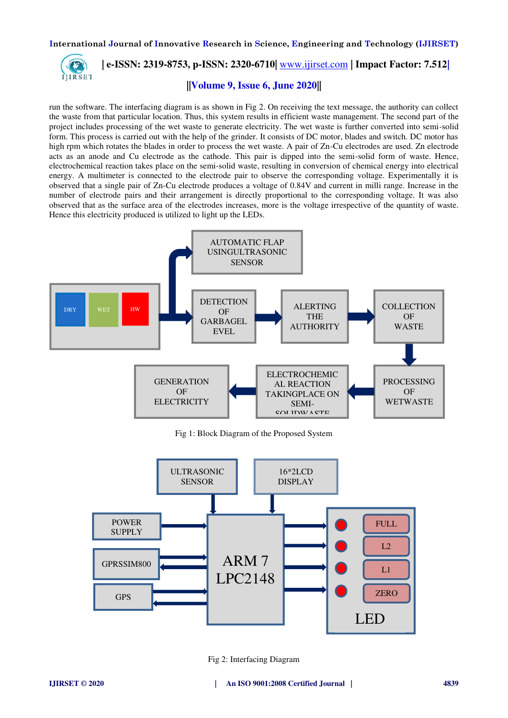

 **| e-ISSN: 2319-8753, p-ISSN: 2320-6710|** [www.ijirset.com](http://www.ijirset.com/) **| Impact Factor: 7.512|**

# **||Volume 9, Issue 6, June 2020||**

run the software. The interfacing diagram is as shown in Fig 2. On receiving the text message, the authority can collect the waste from that particular location. Thus, this system results in efficient waste management. The second part of the project includes processing of the wet waste to generate electricity. The wet waste is further converted into semi-solid form. This process is carried out with the help of the grinder. It consists of DC motor, blades and switch. DC motor has high rpm which rotates the blades in order to process the wet waste. A pair of Zn-Cu electrodes are used. Zn electrode acts as an anode and Cu electrode as the cathode. This pair is dipped into the semi-solid form of waste. Hence, electrochemical reaction takes place on the semi-solid waste, resulting in conversion of chemical energy into electrical energy. A multimeter is connected to the electrode pair to observe the corresponding voltage. Experimentally it is observed that a single pair of Zn-Cu electrode produces a voltage of 0.84V and current in milli range. Increase in the number of electrode pairs and their arrangement is directly proportional to the corresponding voltage. It was also observed that as the surface area of the electrodes increases, more is the voltage irrespective of the quantity of waste. Hence this electricity produced is utilized to light up the LEDs.



Fig 1: Block Diagram of the Proposed System



Fig 2: Interfacing Diagram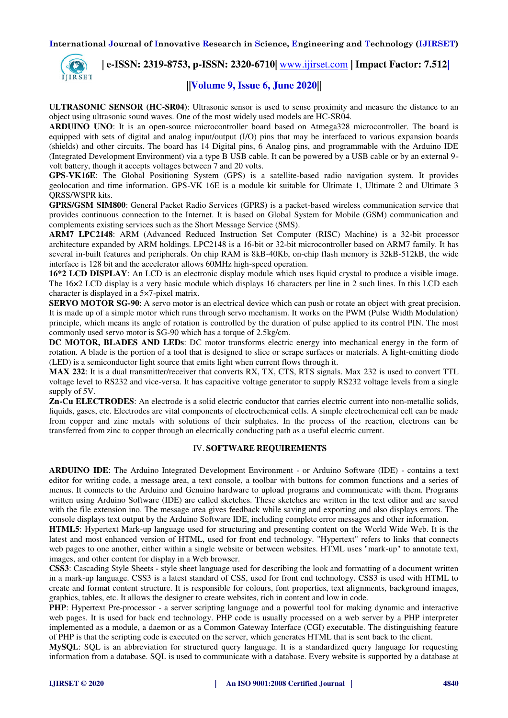

 **| e-ISSN: 2319-8753, p-ISSN: 2320-6710|** [www.ijirset.com](http://www.ijirset.com/) **| Impact Factor: 7.512|**

# **||Volume 9, Issue 6, June 2020||**

**ULTRASONIC SENSOR (HC-SR04)**: Ultrasonic sensor is used to sense proximity and measure the distance to an object using ultrasonic sound waves. One of the most widely used models are HC-SR04.

**ARDUINO UNO**: It is an open-source microcontroller board based on Atmega328 microcontroller. The board is equipped with sets of digital and analog input/output (I/O) pins that may be interfaced to various expansion boards (shields) and other circuits. The board has 14 Digital pins, 6 Analog pins, and programmable with the Arduino IDE (Integrated Development Environment) via a type B USB cable. It can be powered by a USB cable or by an external 9 volt battery, though it accepts voltages between 7 and 20 volts.

**GPS**-**VK16E**: The Global Positioning System (GPS) is a satellite-based radio navigation system. It provides geolocation and time information. GPS-VK 16E is a module kit suitable for Ultimate 1, Ultimate 2 and Ultimate 3 QRSS/WSPR kits.

**GPRS/GSM SIM800**: General Packet Radio Services (GPRS) is a packet-based wireless communication service that provides continuous connection to the Internet. It is based on Global System for Mobile (GSM) communication and complements existing services such as the Short Message Service (SMS).

**ARM7 LPC2148**: ARM (Advanced Reduced Instruction Set Computer (RISC) Machine) is a 32-bit processor architecture expanded by ARM holdings. LPC2148 is a 16-bit or 32-bit microcontroller based on ARM7 family. It has several in-built features and peripherals. On chip RAM is 8kB-40Kb, on-chip flash memory is 32kB-512kB, the wide interface is 128 bit and the accelerator allows 60MHz high-speed operation.

**16\*2 LCD DISPLAY**: An LCD is an electronic display module which uses liquid crystal to produce a visible image. The 16×2 LCD display is a very basic module which displays 16 characters per line in 2 such lines. In this LCD each character is displayed in a 5×7-pixel matrix.

**SERVO MOTOR SG-90**: A servo motor is an electrical device which can push or rotate an object with great precision. It is made up of a simple motor which runs through servo mechanism. It works on the PWM (Pulse Width Modulation) principle, which means its angle of rotation is controlled by the duration of pulse applied to its control PIN. The most commonly used servo motor is SG-90 which has a torque of 2.5kg/cm.

**DC MOTOR, BLADES AND LEDs**: DC motor transforms electric energy into mechanical energy in the form of rotation. A blade is the portion of a tool that is designed to slice or scrape surfaces or materials. A light-emitting diode (LED) is a semiconductor light source that emits light when current flows through it.

**MAX 232**: It is a dual transmitter/receiver that converts RX, TX, CTS, RTS signals. Max 232 is used to convert TTL voltage level to RS232 and vice-versa. It has capacitive voltage generator to supply RS232 voltage levels from a single supply of 5V.

**Zn-Cu ELECTRODES**: An electrode is a solid electric conductor that carries electric current into non-metallic solids, liquids, gases, etc. Electrodes are vital components of electrochemical cells. A simple electrochemical cell can be made from copper and zinc metals with solutions of their sulphates. In the process of the reaction, electrons can be transferred from zinc to copper through an electrically conducting path as a useful electric current.

## IV. **SOFTWARE REQUIREMENTS**

**ARDUINO IDE**: The Arduino Integrated Development Environment - or Arduino Software (IDE) - contains a text editor for writing code, a message area, a text console, a toolbar with buttons for common functions and a series of menus. It connects to the Arduino and Genuino hardware to upload programs and communicate with them. Programs written using Arduino Software (IDE) are called sketches. These sketches are written in the text editor and are saved with the file extension ino. The message area gives feedback while saving and exporting and also displays errors. The console displays text output by the Arduino Software IDE, including complete error messages and other information.

**HTML5**: Hypertext Mark-up language used for structuring and presenting content on the World Wide Web. It is the latest and most enhanced version of HTML, used for front end technology. "Hypertext" refers to links that connects web pages to one another, either within a single website or between websites. HTML uses "mark-up" to annotate text, images, and other content for display in a Web browser.

**CSS3**: Cascading Style Sheets - style sheet language used for describing the look and formatting of a document written in a mark-up language. CSS3 is a latest standard of CSS, used for front end technology. CSS3 is used with HTML to create and format content structure. It is responsible for colours, font properties, text alignments, background images, graphics, tables, etc. It allows the designer to create websites, rich in content and low in code.

**PHP**: Hypertext Pre-processor - a server scripting language and a powerful tool for making dynamic and interactive web pages. It is used for back end technology. PHP code is usually processed on a web server by a PHP interpreter implemented as a module, a daemon or as a Common Gateway Interface (CGI) executable. The distinguishing feature of PHP is that the scripting code is executed on the server, which generates HTML that is sent back to the client.

**MySQL**: SQL is an abbreviation for structured query language. It is a standardized query language for requesting information from a database. SQL is used to communicate with a database. Every website is supported by a database at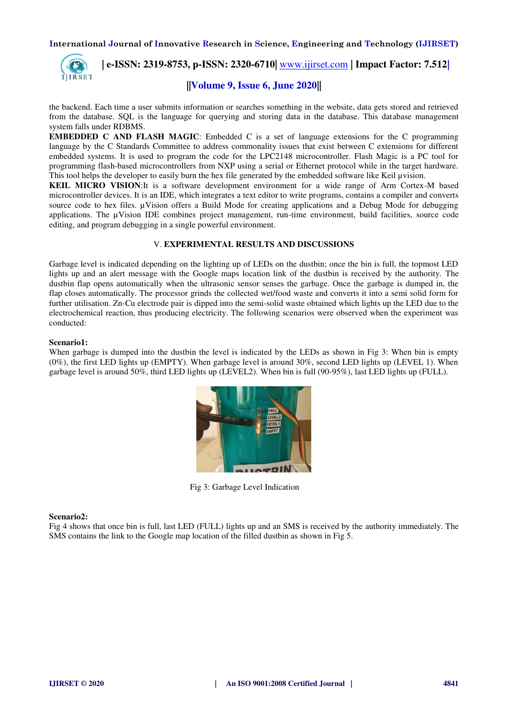

 **| e-ISSN: 2319-8753, p-ISSN: 2320-6710|** [www.ijirset.com](http://www.ijirset.com/) **| Impact Factor: 7.512|**

# **||Volume 9, Issue 6, June 2020||**

the backend. Each time a user submits information or searches something in the website, data gets stored and retrieved from the database. SQL is the language for querying and storing data in the database. This database management system falls under RDBMS.

**EMBEDDED C AND FLASH MAGIC:** Embedded C is a set of language extensions for the C programming language by the C Standards Committee to address commonality issues that exist between C extensions for different embedded systems. It is used to program the code for the LPC2148 microcontroller. Flash Magic is a PC tool for programming flash-based microcontrollers from NXP using a serial or Ethernet protocol while in the target hardware. This tool helps the developer to easily burn the hex file generated by the embedded software like Keil µvision.

**KEIL MICRO VISION**:It is a software development environment for a wide range of Arm Cortex-M based microcontroller devices. It is an IDE, which integrates a text editor to write programs, contains a compiler and converts source code to hex files. µVision offers a Build Mode for creating applications and a Debug Mode for debugging applications. The µVision IDE combines project management, run-time environment, build facilities, source code editing, and program debugging in a single powerful environment.

## V. **EXPERIMENTAL RESULTS AND DISCUSSIONS**

Garbage level is indicated depending on the lighting up of LEDs on the dustbin; once the bin is full, the topmost LED lights up and an alert message with the Google maps location link of the dustbin is received by the authority. The dustbin flap opens automatically when the ultrasonic sensor senses the garbage. Once the garbage is dumped in, the flap closes automatically. The processor grinds the collected wet/food waste and converts it into a semi solid form for further utilisation. Zn-Cu electrode pair is dipped into the semi-solid waste obtained which lights up the LED due to the electrochemical reaction, thus producing electricity. The following scenarios were observed when the experiment was conducted:

## **Scenario1:**

When garbage is dumped into the dustbin the level is indicated by the LEDs as shown in Fig 3: When bin is empty (0%), the first LED lights up (EMPTY). When garbage level is around 30%, second LED lights up (LEVEL 1). When garbage level is around 50%, third LED lights up (LEVEL2). When bin is full (90-95%), last LED lights up (FULL).



Fig 3: Garbage Level Indication

## **Scenario2:**

Fig 4 shows that once bin is full, last LED (FULL) lights up and an SMS is received by the authority immediately. The SMS contains the link to the Google map location of the filled dustbin as shown in Fig 5.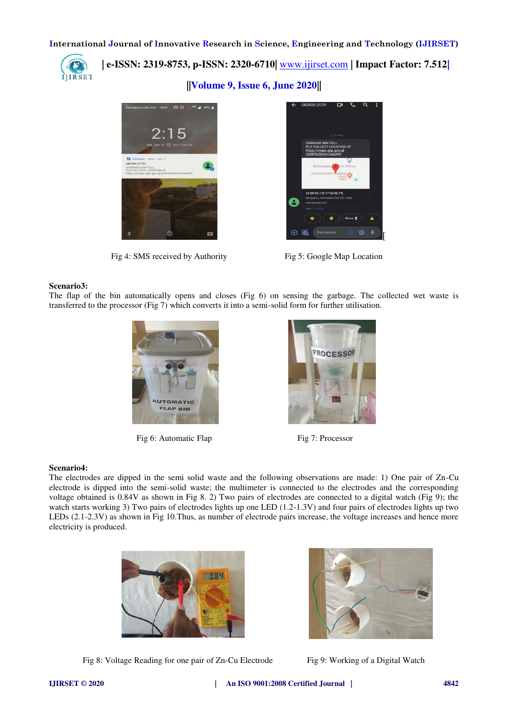

 **| e-ISSN: 2319-8753, p-ISSN: 2320-6710|** [www.ijirset.com](http://www.ijirset.com/) **| Impact Factor: 7.512|**

**||Volume 9, Issue 6, June 2020||** 



Fig 4: SMS received by Authority Fig 5: Google Map Location



#### **Scenario3:**

The flap of the bin automatically opens and closes (Fig 6) on sensing the garbage. The collected wet waste is transferred to the processor (Fig 7) which converts it into a semi-solid form for further utilisation.



Fig 6: Automatic Flap Fig 7: Processor



#### **Scenario4:**

The electrodes are dipped in the semi solid waste and the following observations are made: 1) One pair of Zn-Cu electrode is dipped into the semi-solid waste; the multimeter is connected to the electrodes and the corresponding voltage obtained is 0.84V as shown in Fig 8. 2) Two pairs of electrodes are connected to a digital watch (Fig 9); the watch starts working 3) Two pairs of electrodes lights up one LED (1.2-1.3V) and four pairs of electrodes lights up two LEDs (2.1-2.3V) as shown in Fig 10.Thus, as number of electrode pairs increase, the voltage increases and hence more electricity is produced.





Fig 8: Voltage Reading for one pair of Zn-Cu Electrode Fig 9: Working of a Digital Watch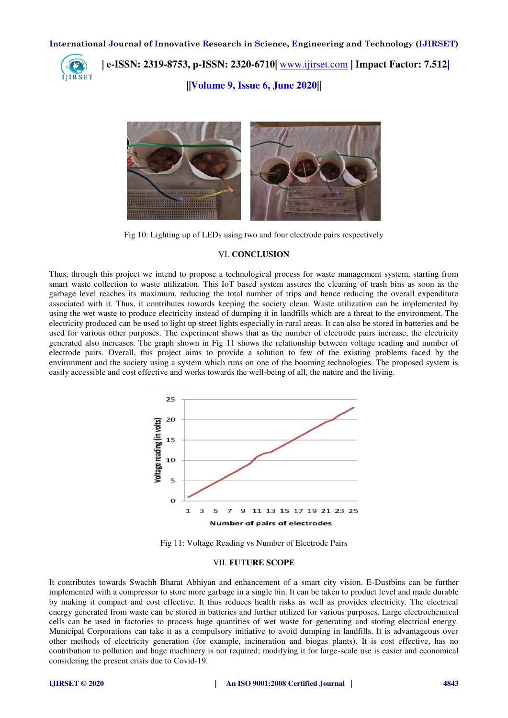

 **| e-ISSN: 2319-8753, p-ISSN: 2320-6710|** [www.ijirset.com](http://www.ijirset.com/) **| Impact Factor: 7.512|**

**||Volume 9, Issue 6, June 2020||** 



Fig 10: Lighting up of LEDs using two and four electrode pairs respectively

#### VI. **CONCLUSION**

Thus, through this project we intend to propose a technological process for waste management system, starting from smart waste collection to waste utilization. This IoT based system assures the cleaning of trash bins as soon as the garbage level reaches its maximum, reducing the total number of trips and hence reducing the overall expenditure associated with it. Thus, it contributes towards keeping the society clean. Waste utilization can be implemented by using the wet waste to produce electricity instead of dumping it in landfills which are a threat to the environment. The electricity produced can be used to light up street lights especially in rural areas. It can also be stored in batteries and be used for various other purposes. The experiment shows that as the number of electrode pairs increase, the electricity generated also increases. The graph shown in Fig 11 shows the relationship between voltage reading and number of electrode pairs. Overall, this project aims to provide a solution to few of the existing problems faced by the environment and the society using a system which runs on one of the booming technologies. The proposed system is easily accessible and cost effective and works towards the well-being of all, the nature and the living.



Fig 11: Voltage Reading vs Number of Electrode Pairs

#### VII. **FUTURE SCOPE**

It contributes towards Swachh Bharat Abhiyan and enhancement of a smart city vision. E-Dustbins can be further implemented with a compressor to store more garbage in a single bin. It can be taken to product level and made durable by making it compact and cost effective. It thus reduces health risks as well as provides electricity. The electrical energy generated from waste can be stored in batteries and further utilized for various purposes. Large electrochemical cells can be used in factories to process huge quantities of wet waste for generating and storing electrical energy. Municipal Corporations can take it as a compulsory initiative to avoid dumping in landfills. It is advantageous over other methods of electricity generation (for example, incineration and biogas plants). It is cost effective, has no contribution to pollution and huge machinery is not required; modifying it for large-scale use is easier and economical considering the present crisis due to Covid-19.